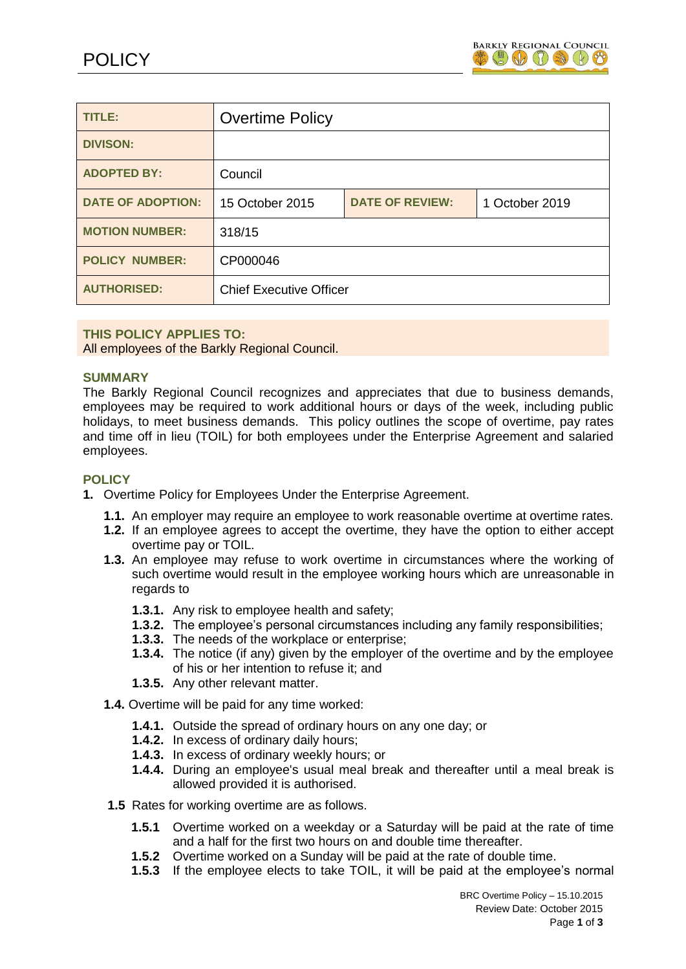

| TITLE:                   | <b>Overtime Policy</b>         |                        |                |
|--------------------------|--------------------------------|------------------------|----------------|
| <b>DIVISON:</b>          |                                |                        |                |
| <b>ADOPTED BY:</b>       | Council                        |                        |                |
| <b>DATE OF ADOPTION:</b> | 15 October 2015                | <b>DATE OF REVIEW:</b> | 1 October 2019 |
| <b>MOTION NUMBER:</b>    | 318/15                         |                        |                |
| <b>POLICY NUMBER:</b>    | CP000046                       |                        |                |
| <b>AUTHORISED:</b>       | <b>Chief Executive Officer</b> |                        |                |

## **THIS POLICY APPLIES TO:**

All employees of the Barkly Regional Council.

## **SUMMARY**

The Barkly Regional Council recognizes and appreciates that due to business demands, employees may be required to work additional hours or days of the week, including public holidays, to meet business demands. This policy outlines the scope of overtime, pay rates and time off in lieu (TOIL) for both employees under the Enterprise Agreement and salaried employees.

## **POLICY**

- **1.** Overtime Policy for Employees Under the Enterprise Agreement.
	- **1.1.** An employer may require an employee to work reasonable overtime at overtime rates.
	- **1.2.** If an employee agrees to accept the overtime, they have the option to either accept overtime pay or TOIL.
	- **1.3.** An employee may refuse to work overtime in circumstances where the working of such overtime would result in the employee working hours which are unreasonable in regards to
		- **1.3.1.** Any risk to employee health and safety;
		- **1.3.2.** The employee's personal circumstances including any family responsibilities;
		- **1.3.3.** The needs of the workplace or enterprise;
		- **1.3.4.** The notice (if any) given by the employer of the overtime and by the employee of his or her intention to refuse it; and
		- **1.3.5.** Any other relevant matter.
	- **1.4.** Overtime will be paid for any time worked:
		- **1.4.1.** Outside the spread of ordinary hours on any one day; or
		- **1.4.2.** In excess of ordinary daily hours;
		- **1.4.3.** In excess of ordinary weekly hours; or
		- **1.4.4.** During an employee's usual meal break and thereafter until a meal break is allowed provided it is authorised.
	- **1.5** Rates for working overtime are as follows.
		- **1.5.1** Overtime worked on a weekday or a Saturday will be paid at the rate of time and a half for the first two hours on and double time thereafter.
		- **1.5.2** Overtime worked on a Sunday will be paid at the rate of double time.
		- **1.5.3** If the employee elects to take TOIL, it will be paid at the employee's normal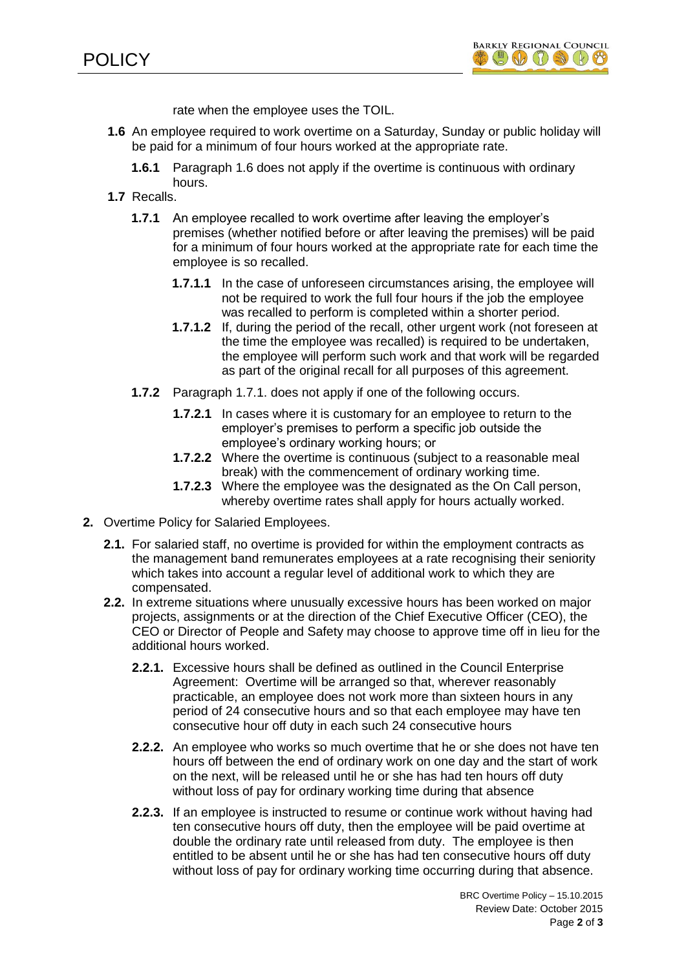

rate when the employee uses the TOIL.

- **1.6** An employee required to work overtime on a Saturday, Sunday or public holiday will be paid for a minimum of four hours worked at the appropriate rate.
	- **1.6.1** Paragraph 1.6 does not apply if the overtime is continuous with ordinary hours.
- **1.7** Recalls.
	- **1.7.1** An employee recalled to work overtime after leaving the employer's premises (whether notified before or after leaving the premises) will be paid for a minimum of four hours worked at the appropriate rate for each time the employee is so recalled.
		- **1.7.1.1** In the case of unforeseen circumstances arising, the employee will not be required to work the full four hours if the job the employee was recalled to perform is completed within a shorter period.
		- **1.7.1.2** If, during the period of the recall, other urgent work (not foreseen at the time the employee was recalled) is required to be undertaken, the employee will perform such work and that work will be regarded as part of the original recall for all purposes of this agreement.
	- **1.7.2** Paragraph 1.7.1. does not apply if one of the following occurs.
		- **1.7.2.1** In cases where it is customary for an employee to return to the employer's premises to perform a specific job outside the employee's ordinary working hours; or
		- **1.7.2.2** Where the overtime is continuous (subject to a reasonable meal break) with the commencement of ordinary working time.
		- **1.7.2.3** Where the employee was the designated as the On Call person, whereby overtime rates shall apply for hours actually worked.
- **2.** Overtime Policy for Salaried Employees.
	- **2.1.** For salaried staff, no overtime is provided for within the employment contracts as the management band remunerates employees at a rate recognising their seniority which takes into account a regular level of additional work to which they are compensated.
	- **2.2.** In extreme situations where unusually excessive hours has been worked on major projects, assignments or at the direction of the Chief Executive Officer (CEO), the CEO or Director of People and Safety may choose to approve time off in lieu for the additional hours worked.
		- **2.2.1.** Excessive hours shall be defined as outlined in the Council Enterprise Agreement: Overtime will be arranged so that, wherever reasonably practicable, an employee does not work more than sixteen hours in any period of 24 consecutive hours and so that each employee may have ten consecutive hour off duty in each such 24 consecutive hours
		- **2.2.2.** An employee who works so much overtime that he or she does not have ten hours off between the end of ordinary work on one day and the start of work on the next, will be released until he or she has had ten hours off duty without loss of pay for ordinary working time during that absence
		- **2.2.3.** If an employee is instructed to resume or continue work without having had ten consecutive hours off duty, then the employee will be paid overtime at double the ordinary rate until released from duty. The employee is then entitled to be absent until he or she has had ten consecutive hours off duty without loss of pay for ordinary working time occurring during that absence.